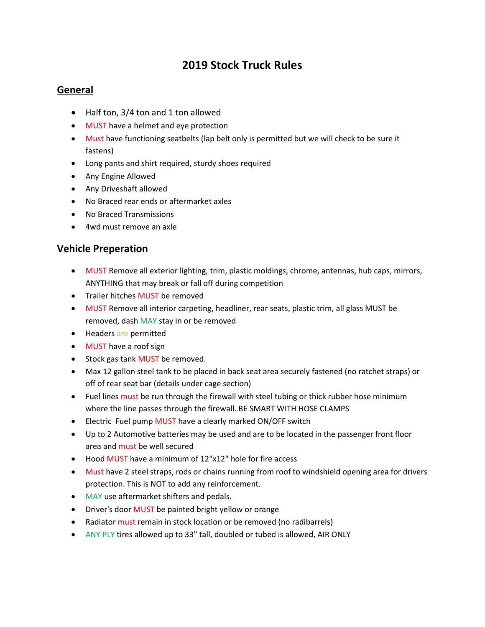# 2019 Stock Truck Rules

### General

- Half ton, 3/4 ton and 1 ton allowed
- MUST have a helmet and eye protection
- Must have functioning seatbelts (lap belt only is permitted but we will check to be sure it fastens)
- Long pants and shirt required, sturdy shoes required
- Any Engine Allowed
- Any Driveshaft allowed
- No Braced rear ends or aftermarket axles
- No Braced Transmissions
- 4wd must remove an axle

### Vehicle Preperation

- MUST Remove all exterior lighting, trim, plastic moldings, chrome, antennas, hub caps, mirrors, ANYTHING that may break or fall off during competition
- Trailer hitches MUST be removed
- MUST Remove all interior carpeting, headliner, rear seats, plastic trim, all glass MUST be removed, dash MAY stay in or be removed
- Headers are permitted
- MUST have a roof sign
- Stock gas tank MUST be removed.
- Max 12 gallon steel tank to be placed in back seat area securely fastened (no ratchet straps) or off of rear seat bar (details under cage section)
- Fuel lines must be run through the firewall with steel tubing or thick rubber hose minimum where the line passes through the firewall. BE SMART WITH HOSE CLAMPS
- Electric Fuel pump MUST have a clearly marked ON/OFF switch
- Up to 2 Automotive batteries may be used and are to be located in the passenger front floor area and must be well secured
- Hood MUST have a minimum of 12"x12" hole for fire access
- Must have 2 steel straps, rods or chains running from roof to windshield opening area for drivers protection. This is NOT to add any reinforcement.
- MAY use aftermarket shifters and pedals.
- Driver's door MUST be painted bright yellow or orange
- Radiator must remain in stock location or be removed (no radibarrels)
- ANY PLY tires allowed up to 33" tall, doubled or tubed is allowed, AIR ONLY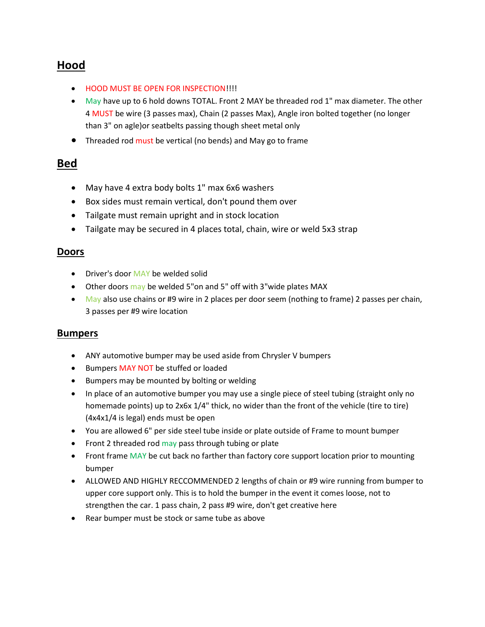# Hood

- HOOD MUST BE OPEN FOR INSPECTION!!!!
- May have up to 6 hold downs TOTAL. Front 2 MAY be threaded rod 1" max diameter. The other 4 MUST be wire (3 passes max), Chain (2 passes Max), Angle iron bolted together (no longer than 3" on agle)or seatbelts passing though sheet metal only
- Threaded rod must be vertical (no bends) and May go to frame

# Bed

- May have 4 extra body bolts 1" max 6x6 washers
- Box sides must remain vertical, don't pound them over
- Tailgate must remain upright and in stock location
- Tailgate may be secured in 4 places total, chain, wire or weld 5x3 strap

### **Doors**

- Driver's door MAY be welded solid
- Other doors may be welded 5"on and 5" off with 3"wide plates MAX
- May also use chains or #9 wire in 2 places per door seem (nothing to frame) 2 passes per chain, 3 passes per #9 wire location

#### Bumpers

- ANY automotive bumper may be used aside from Chrysler V bumpers
- **•** Bumpers MAY NOT be stuffed or loaded
- Bumpers may be mounted by bolting or welding
- In place of an automotive bumper you may use a single piece of steel tubing (straight only no homemade points) up to 2x6x 1/4" thick, no wider than the front of the vehicle (tire to tire) (4x4x1/4 is legal) ends must be open
- You are allowed 6" per side steel tube inside or plate outside of Frame to mount bumper
- Front 2 threaded rod may pass through tubing or plate
- Front frame MAY be cut back no farther than factory core support location prior to mounting bumper
- ALLOWED AND HIGHLY RECCOMMENDED 2 lengths of chain or #9 wire running from bumper to upper core support only. This is to hold the bumper in the event it comes loose, not to strengthen the car. 1 pass chain, 2 pass #9 wire, don't get creative here
- Rear bumper must be stock or same tube as above